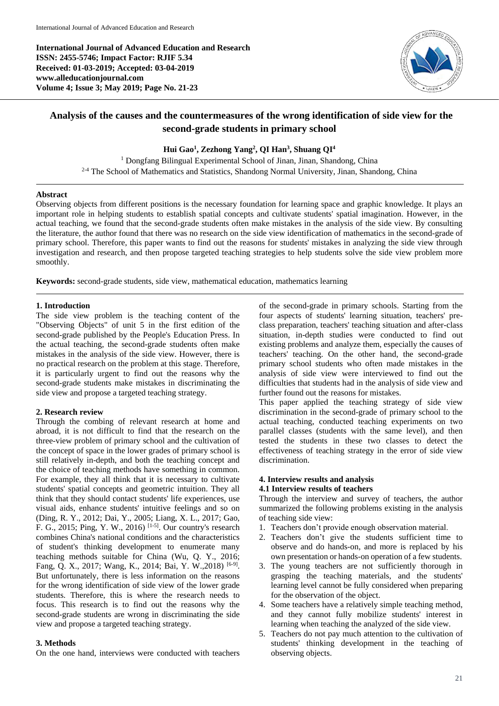**International Journal of Advanced Education and Research ISSN: 2455-5746; Impact Factor: RJIF 5.34 Received: 01-03-2019; Accepted: 03-04-2019 www.alleducationjournal.com Volume 4; Issue 3; May 2019; Page No. 21-23**



# **Analysis of the causes and the countermeasures of the wrong identification of side view for the second-grade students in primary school**

### **Hui Gao<sup>1</sup> , Zezhong Yang<sup>2</sup> , QI Han<sup>3</sup> , Shuang QI<sup>4</sup>**

<sup>1</sup> Dongfang Bilingual Experimental School of Jinan, Jinan, Shandong, China 2-4 The School of Mathematics and Statistics, Shandong Normal University, Jinan, Shandong, China

#### **Abstract**

Observing objects from different positions is the necessary foundation for learning space and graphic knowledge. It plays an important role in helping students to establish spatial concepts and cultivate students' spatial imagination. However, in the actual teaching, we found that the second-grade students often make mistakes in the analysis of the side view. By consulting the literature, the author found that there was no research on the side view identification of mathematics in the second-grade of primary school. Therefore, this paper wants to find out the reasons for students' mistakes in analyzing the side view through investigation and research, and then propose targeted teaching strategies to help students solve the side view problem more smoothly.

**Keywords:** second-grade students, side view, mathematical education, mathematics learning

#### **1. Introduction**

The side view problem is the teaching content of the "Observing Objects" of unit 5 in the first edition of the second-grade published by the People's Education Press. In the actual teaching, the second-grade students often make mistakes in the analysis of the side view. However, there is no practical research on the problem at this stage. Therefore, it is particularly urgent to find out the reasons why the second-grade students make mistakes in discriminating the side view and propose a targeted teaching strategy.

### **2. Research review**

Through the combing of relevant research at home and abroad, it is not difficult to find that the research on the three-view problem of primary school and the cultivation of the concept of space in the lower grades of primary school is still relatively in-depth, and both the teaching concept and the choice of teaching methods have something in common. For example, they all think that it is necessary to cultivate students' spatial concepts and geometric intuition. They all think that they should contact students' life experiences, use visual aids, enhance students' intuitive feelings and so on (Ding, R. Y., 2012; Dai, Y., 2005; Liang, X. L., 2017; Gao, F. G., 2015; Ping, Y. W., 2016) [1-5] . Our country's research combines China's national conditions and the characteristics of student's thinking development to enumerate many teaching methods suitable for China (Wu, Q. Y., 2016; Fang, Q. X., 2017; Wang, K., 2014; Bai, Y. W., 2018)<sup>[6-9]</sup>. But unfortunately, there is less information on the reasons for the wrong identification of side view of the lower grade students. Therefore, this is where the research needs to focus. This research is to find out the reasons why the second-grade students are wrong in discriminating the side view and propose a targeted teaching strategy.

#### **3. Methods**

On the one hand, interviews were conducted with teachers

of the second-grade in primary schools. Starting from the four aspects of students' learning situation, teachers' preclass preparation, teachers' teaching situation and after-class situation, in-depth studies were conducted to find out existing problems and analyze them, especially the causes of teachers' teaching. On the other hand, the second-grade primary school students who often made mistakes in the analysis of side view were interviewed to find out the difficulties that students had in the analysis of side view and further found out the reasons for mistakes.

This paper applied the teaching strategy of side view discrimination in the second-grade of primary school to the actual teaching, conducted teaching experiments on two parallel classes (students with the same level), and then tested the students in these two classes to detect the effectiveness of teaching strategy in the error of side view discrimination.

#### **4. Interview results and analysis 4.1 Interview results of teachers**

Through the interview and survey of teachers, the author summarized the following problems existing in the analysis of teaching side view:

- 1. Teachers don't provide enough observation material.
- 2. Teachers don't give the students sufficient time to observe and do hands-on, and more is replaced by his own presentation or hands-on operation of a few students.
- 3. The young teachers are not sufficiently thorough in grasping the teaching materials, and the students' learning level cannot be fully considered when preparing for the observation of the object.
- 4. Some teachers have a relatively simple teaching method, and they cannot fully mobilize students' interest in learning when teaching the analyzed of the side view.
- 5. Teachers do not pay much attention to the cultivation of students' thinking development in the teaching of observing objects.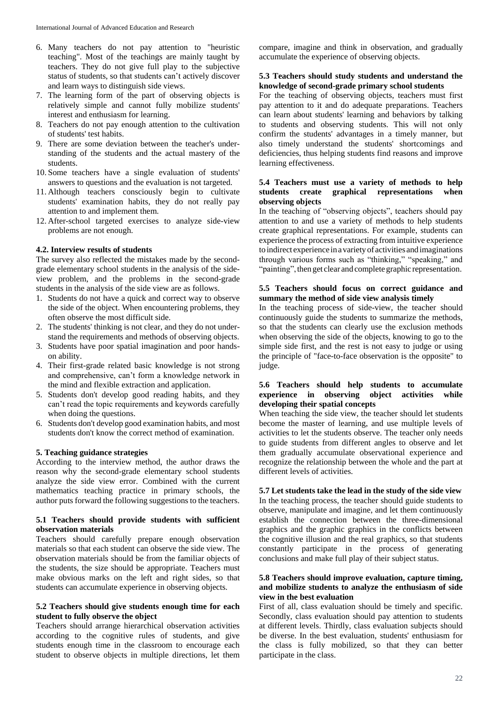- 6. Many teachers do not pay attention to "heuristic teaching". Most of the teachings are mainly taught by teachers. They do not give full play to the subjective status of students, so that students can't actively discover and learn ways to distinguish side views.
- 7. The learning form of the part of observing objects is relatively simple and cannot fully mobilize students' interest and enthusiasm for learning.
- 8. Teachers do not pay enough attention to the cultivation of students' test habits.
- 9. There are some deviation between the teacher's understanding of the students and the actual mastery of the students.
- 10. Some teachers have a single evaluation of students' answers to questions and the evaluation is not targeted.
- 11. Although teachers consciously begin to cultivate students' examination habits, they do not really pay attention to and implement them.
- 12. After-school targeted exercises to analyze side-view problems are not enough.

#### **4.2. Interview results of students**

The survey also reflected the mistakes made by the secondgrade elementary school students in the analysis of the sideview problem, and the problems in the second-grade students in the analysis of the side view are as follows.

- 1. Students do not have a quick and correct way to observe the side of the object. When encountering problems, they often observe the most difficult side.
- 2. The students' thinking is not clear, and they do not understand the requirements and methods of observing objects.
- 3. Students have poor spatial imagination and poor handson ability.
- 4. Their first-grade related basic knowledge is not strong and comprehensive, can't form a knowledge network in the mind and flexible extraction and application.
- 5. Students don't develop good reading habits, and they can't read the topic requirements and keywords carefully when doing the questions.
- 6. Students don't develop good examination habits, and most students don't know the correct method of examination.

#### **5. Teaching guidance strategies**

According to the interview method, the author draws the reason why the second-grade elementary school students analyze the side view error. Combined with the current mathematics teaching practice in primary schools, the author puts forward the following suggestions to the teachers.

# **5.1 Teachers should provide students with sufficient observation materials**

Teachers should carefully prepare enough observation materials so that each student can observe the side view. The observation materials should be from the familiar objects of the students, the size should be appropriate. Teachers must make obvious marks on the left and right sides, so that students can accumulate experience in observing objects.

#### **5.2 Teachers should give students enough time for each student to fully observe the object**

Teachers should arrange hierarchical observation activities according to the cognitive rules of students, and give students enough time in the classroom to encourage each student to observe objects in multiple directions, let them compare, imagine and think in observation, and gradually accumulate the experience of observing objects.

#### **5.3 Teachers should study students and understand the knowledge of second-grade primary school students**

For the teaching of observing objects, teachers must first pay attention to it and do adequate preparations. Teachers can learn about students' learning and behaviors by talking to students and observing students. This will not only confirm the students' advantages in a timely manner, but also timely understand the students' shortcomings and deficiencies, thus helping students find reasons and improve learning effectiveness.

#### **5.4 Teachers must use a variety of methods to help students create graphical representations when observing objects**

In the teaching of "observing objects", teachers should pay attention to and use a variety of methods to help students create graphical representations. For example, students can experience the process of extracting from intuitive experience to indirect experience inavariety of activities and imaginations through various forms such as "thinking," "speaking," and "painting", then get clear and complete graphic representation.

#### **5.5 Teachers should focus on correct guidance and summary the method of side view analysis timely**

In the teaching process of side-view, the teacher should continuously guide the students to summarize the methods, so that the students can clearly use the exclusion methods when observing the side of the objects, knowing to go to the simple side first, and the rest is not easy to judge or using the principle of "face-to-face observation is the opposite" to judge.

### **5.6 Teachers should help students to accumulate experience in observing object activities while developing their spatial concepts**

When teaching the side view, the teacher should let students become the master of learning, and use multiple levels of activities to let the students observe. The teacher only needs to guide students from different angles to observe and let them gradually accumulate observational experience and recognize the relationship between the whole and the part at different levels of activities.

**5.7 Let students take the lead in the study of the side view** In the teaching process, the teacher should guide students to observe, manipulate and imagine, and let them continuously establish the connection between the three-dimensional graphics and the graphic graphics in the conflicts between the cognitive illusion and the real graphics, so that students constantly participate in the process of generating conclusions and make full play of their subject status.

### **5.8 Teachers should improve evaluation, capture timing, and mobilize students to analyze the enthusiasm of side view in the best evaluation**

First of all, class evaluation should be timely and specific. Secondly, class evaluation should pay attention to students at different levels. Thirdly, class evaluation subjects should be diverse. In the best evaluation, students' enthusiasm for the class is fully mobilized, so that they can better participate in the class.